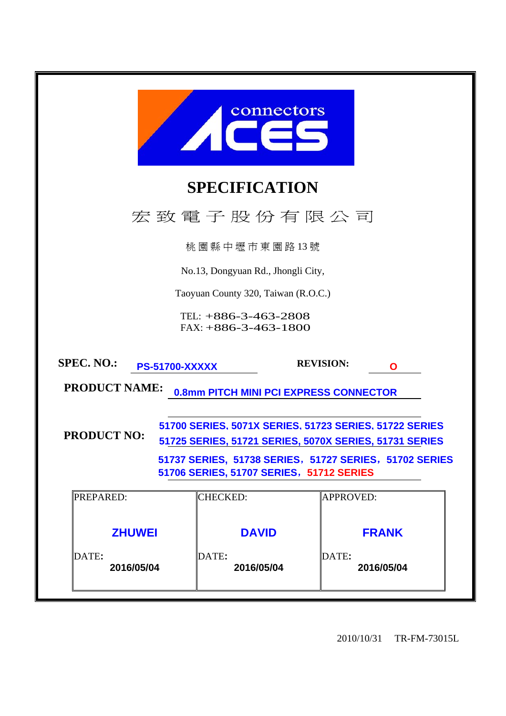| connectors<br><b>A</b>                                                                                                                                                                                                                       |                                                  |                                     |  |  |  |  |
|----------------------------------------------------------------------------------------------------------------------------------------------------------------------------------------------------------------------------------------------|--------------------------------------------------|-------------------------------------|--|--|--|--|
|                                                                                                                                                                                                                                              | <b>SPECIFICATION</b>                             |                                     |  |  |  |  |
|                                                                                                                                                                                                                                              | 宏致電子股份有限公司                                       |                                     |  |  |  |  |
|                                                                                                                                                                                                                                              | 桃園縣中壢市東園路13號                                     |                                     |  |  |  |  |
|                                                                                                                                                                                                                                              | No.13, Dongyuan Rd., Jhongli City,               |                                     |  |  |  |  |
|                                                                                                                                                                                                                                              | Taoyuan County 320, Taiwan (R.O.C.)              |                                     |  |  |  |  |
|                                                                                                                                                                                                                                              | TEL: $+886-3-463-2808$<br>$FAX: +886-3-463-1800$ |                                     |  |  |  |  |
| <b>SPEC. NO.:</b><br><b>PS-51700-XXXXX</b>                                                                                                                                                                                                   |                                                  | <b>REVISION:</b><br>Q               |  |  |  |  |
| <b>PRODUCT NAME:</b>                                                                                                                                                                                                                         | <b>0.8mm PITCH MINI PCI EXPRESS CONNECTOR</b>    |                                     |  |  |  |  |
| 51700 SERIES. 5071X SERIES. 51723 SERIES. 51722 SERIES<br><b>PRODUCT NO:</b><br>51725 SERIES, 51721 SERIES, 5070X SERIES, 51731 SERIES<br>51737 SERIES, 51738 SERIES, 51727 SERIES, 51702 SERIES<br>51706 SERIES, 51707 SERIES, 51712 SERIES |                                                  |                                     |  |  |  |  |
| <b>PREPARED:</b>                                                                                                                                                                                                                             | <b>CHECKED:</b><br><b>APPROVED:</b>              |                                     |  |  |  |  |
| <b>ZHUWEI</b><br>DATE:<br>2016/05/04                                                                                                                                                                                                         | <b>DAVID</b><br>DATE:<br>2016/05/04              | <b>FRANK</b><br>DATE:<br>2016/05/04 |  |  |  |  |

2010/10/31 TR-FM-73015L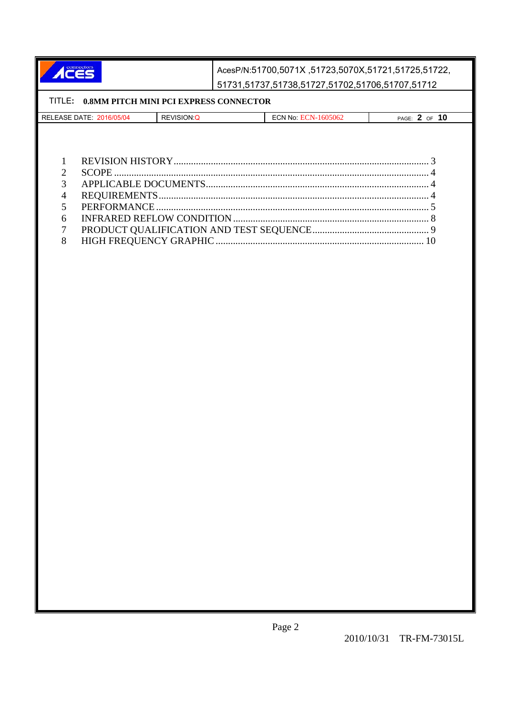ACES AcesP/N:51700,5071X ,51723,5070X,51721,51725,51722, 51731,51737,51738,51727,51702,51706,51707,51712

|   | TITLE: 0.8MM PITCH MINI PCI EXPRESS CONNECTOR |             |                     |               |
|---|-----------------------------------------------|-------------|---------------------|---------------|
|   | RELEASE DATE: 2016/05/04                      | REVISION: Q | ECN No: ECN-1605062 | PAGE: 2 OF 10 |
|   |                                               |             |                     |               |
|   |                                               |             |                     |               |
|   |                                               |             |                     |               |
|   |                                               |             |                     |               |
| 7 |                                               |             |                     |               |
| 3 |                                               |             |                     |               |
| 4 |                                               |             |                     |               |
|   |                                               |             |                     |               |
| 6 |                                               |             |                     |               |
| 7 |                                               |             |                     |               |
| 8 |                                               |             |                     |               |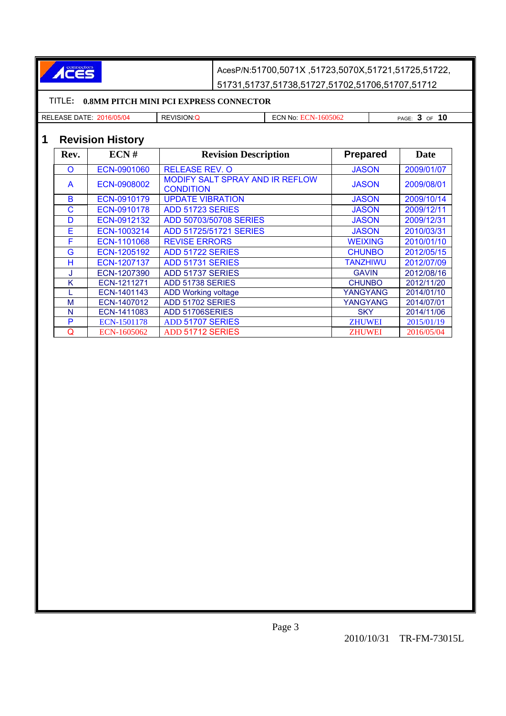

AcesP/N:51700,5071X ,51723,5070X,51721,51725,51722, 51731,51737,51738,51727,51702,51706,51707,51712

## TITLE**: 0.8MM PITCH MINI PCI EXPRESS CONNECTOR**

| <b>REL</b><br>Aəi | oг<br>- 10<br>71 V<br>╲┖<br>۱٠.<br>.<br>____ | NG.<br>m<br>. | <b>PAGE</b><br>- -<br><b>JF</b> |
|-------------------|----------------------------------------------|---------------|---------------------------------|
|                   |                                              |               |                                 |

# **1 Revision History**

| Rev. | ECN#               | <b>Revision Description</b>                         | <b>Prepared</b> | <b>Date</b> |
|------|--------------------|-----------------------------------------------------|-----------------|-------------|
| O    | ECN-0901060        | <b>RELEASE REV. O</b>                               | <b>JASON</b>    | 2009/01/07  |
| A    | ECN-0908002        | MODIFY SALT SPRAY AND IR REFLOW<br><b>CONDITION</b> | <b>JASON</b>    | 2009/08/01  |
| B    | ECN-0910179        | <b>UPDATE VIBRATION</b>                             | <b>JASON</b>    | 2009/10/14  |
| С    | ECN-0910178        | ADD 51723 SERIES                                    | <b>JASON</b>    | 2009/12/11  |
| D    | ECN-0912132        | ADD 50703/50708 SERIES                              | <b>JASON</b>    | 2009/12/31  |
| E    | ECN-1003214        | ADD 51725/51721 SERIES                              | <b>JASON</b>    | 2010/03/31  |
| F    | ECN-1101068        | <b>REVISE ERRORS</b>                                | <b>WEIXING</b>  | 2010/01/10  |
| G    | ECN-1205192        | ADD 51722 SERIES                                    | <b>CHUNBO</b>   | 2012/05/15  |
| н    | ECN-1207137        | ADD 51731 SERIES                                    | <b>TANZHIWU</b> | 2012/07/09  |
| J    | ECN-1207390        | ADD 51737 SERIES                                    | <b>GAVIN</b>    | 2012/08/16  |
| Κ    | ECN-1211271        | ADD 51738 SERIES                                    | <b>CHUNBO</b>   | 2012/11/20  |
|      | ECN-1401143        | <b>ADD Working voltage</b>                          | YANGYANG        | 2014/01/10  |
| M    | ECN-1407012        | ADD 51702 SERIES                                    | YANGYANG        | 2014/07/01  |
| N    | ECN-1411083        | ADD 51706SERIES                                     | <b>SKY</b>      | 2014/11/06  |
| P    | <b>ECN-1501178</b> | <b>ADD 51707 SERIES</b>                             | <b>ZHUWEI</b>   | 2015/01/19  |
| Q    | ECN-1605062        | ADD 51712 SERIES                                    | <b>ZHUWEI</b>   | 2016/05/04  |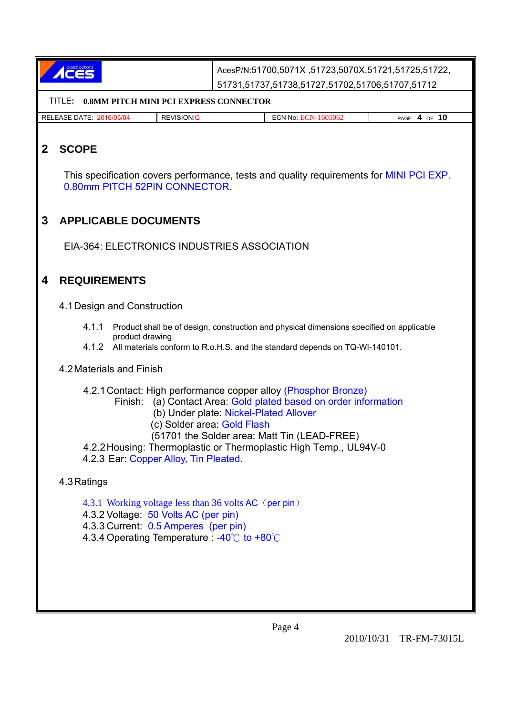| <b>ACES</b>                                    |                                                 |
|------------------------------------------------|-------------------------------------------------|
|                                                | 51731,51737,51738,51727,51702,51706,51707,51712 |
| TITLE – 0 SMM PITCH MINI PCI EXPRESS CONNECTOR |                                                 |

| .                                  | www.communication.com |                            |                  |
|------------------------------------|-----------------------|----------------------------|------------------|
| <b>RELEASE DATE:</b><br>2016/05/04 | <b>REVISION:Q</b>     | <b>ECN No. ECN-1605062</b> | 10<br>PAGE: 4 OF |

# **2 SCOPE**

This specification covers performance, tests and quality requirements for MINI PCI EXP. 0.80mm PITCH 52PIN CONNECTOR.

## **3 APPLICABLE DOCUMENTS**

EIA-364: ELECTRONICS INDUSTRIES ASSOCIATION

## **4 REQUIREMENTS**

4.1 Design and Construction

- 4.1.1 Product shall be of design, construction and physical dimensions specified on applicable product drawing.
- 4.1.2 All materials conform to R.o.H.S. and the standard depends on TQ-WI-140101.

### 4.2 Materials and Finish

4.2.1 Contact: High performance copper alloy (Phosphor Bronze)

- Finish: (a) Contact Area: Gold plated based on order information
	- (b) Under plate: Nickel-Plated Allover
		- (c) Solder area: Gold Flash
		- (51701 the Solder area: Matt Tin (LEAD-FREE)
- 4.2.2 Housing: Thermoplastic or Thermoplastic High Temp., UL94V-0
- 4.2.3 Ear: Copper Alloy, Tin Pleated.

4.3 Ratings

- 4.3.1 Working voltage less than 36 volts AC (per pin)
- 4.3.2 Voltage: 50 Volts AC (per pin)
- 4.3.3 Current: 0.5 Amperes (per pin)
- 4.3.4 Operating Temperature : -40 $\degree$ C to +80 $\degree$ C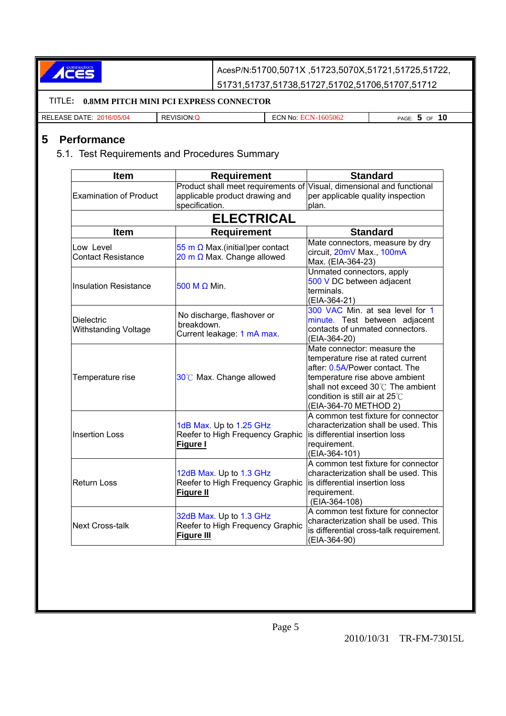ACES

AcesP/N:51700,5071X ,51723,5070X,51721,51725,51722, 51731,51737,51738,51727,51702,51706,51707,51712

#### TITLE**: 0.8MM PITCH MINI PCI EXPRESS CONNECTOR**  RELEASE DATE: 2016/05/04 REVISION:Q ECN No: ECN-1605062 PAGE: **5** OF **10 5 Performance**  5.1. Test Requirements and Procedures Summary **Item** | Requirement | Standard Examination of Product Product shall meet requirements of applicable product drawing and specification. Visual, dimensional and functional per applicable quality inspection plan. **ELECTRICAL Item Requirement Requirement Standard** Low Level Contact Resistance 55 m  $\Omega$  Max.(initial) per contact 20 m  $\Omega$  Max. Change allowed Mate connectors, measure by dry circuit, 20mV Max., 100mA Max. (EIA-364-23) Insulation Resistance 500 M Ω Min. Unmated connectors, apply 500 V DC between adjacent terminals. (EIA-364-21) **Dielectric** Withstanding Voltage No discharge, flashover or breakdown. Current leakage: 1 mA max. 300 VAC Min. at sea level for 1 minute. Test between adjacent contacts of unmated connectors. (EIA-364-20) Temperature rise  $30^\circ$ C Max. Change allowed Mate connector: measure the temperature rise at rated current after: 0.5A/Power contact. The temperature rise above ambient shall not exceed 30 $\degree$ C The ambient condition is still air at 25℃ (EIA-364-70 METHOD 2) Insertion Loss 1dB Max. Up to 1.25 GHz Reefer to High Frequency Graphic **Figure I** A common test fixture for connector characterization shall be used. This is differential insertion loss requirement. (EIA-364-101) Return Loss 12dB Max. Up to 1.3 GHz Reefer to High Frequency Graphic **Figure II** A common test fixture for connector characterization shall be used. This is differential insertion loss requirement. (EIA-364-108) Next Cross-talk 32dB Max. Up to 1.3 GHz Reefer to High Frequency Graphic **Figure III** A common test fixture for connector characterization shall be used. This is differential cross-talk requirement. (EIA-364-90)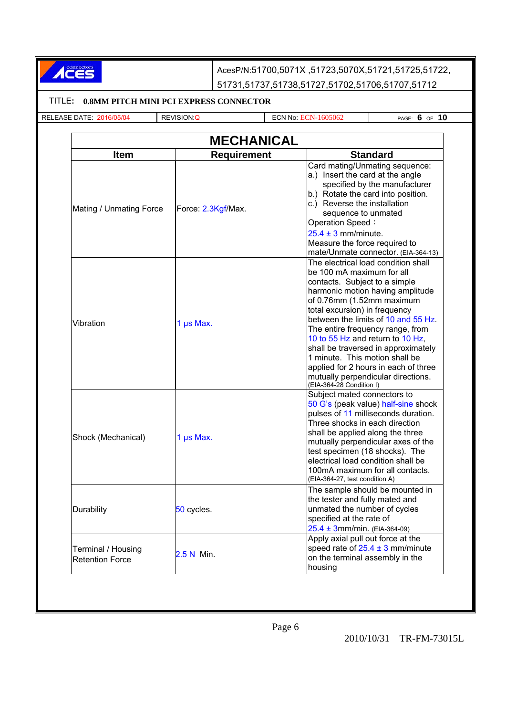ACES

AcesP/N:51700,5071X ,51723,5070X,51721,51725,51722, 51731,51737,51738,51727,51702,51706,51707,51712

#### TITLE**: 0.8MM PITCH MINI PCI EXPRESS CONNECTOR**

RELEASE DATE: 2016/05/04 REVISION:Q ECN No: ECN-1605062 PAGE: **6** OF **10**

| <b>MECHANICAL</b><br><b>Standard</b><br><b>Requirement</b><br><b>Item</b> |                    |                                                                                                                                                                                                                                                                                                                                                                                                                                                                                                       |  |  |
|---------------------------------------------------------------------------|--------------------|-------------------------------------------------------------------------------------------------------------------------------------------------------------------------------------------------------------------------------------------------------------------------------------------------------------------------------------------------------------------------------------------------------------------------------------------------------------------------------------------------------|--|--|
|                                                                           |                    |                                                                                                                                                                                                                                                                                                                                                                                                                                                                                                       |  |  |
| Mating / Unmating Force                                                   | Force: 2.3Kgf/Max. | Card mating/Unmating sequence:<br>a.) Insert the card at the angle<br>specified by the manufacturer<br>b.) Rotate the card into position.<br>c.) Reverse the installation<br>sequence to unmated<br>Operation Speed:<br>$25.4 \pm 3$ mm/minute.<br>Measure the force required to<br>mate/Unmate connector. (EIA-364-13)                                                                                                                                                                               |  |  |
| Vibration                                                                 | 1 µs Max.          | The electrical load condition shall<br>be 100 mA maximum for all<br>contacts. Subject to a simple<br>harmonic motion having amplitude<br>of 0.76mm (1.52mm maximum<br>total excursion) in frequency<br>between the limits of 10 and 55 Hz.<br>The entire frequency range, from<br>10 to 55 Hz and return to 10 Hz,<br>shall be traversed in approximately<br>1 minute. This motion shall be<br>applied for 2 hours in each of three<br>mutually perpendicular directions.<br>(EIA-364-28 Condition I) |  |  |
| Shock (Mechanical)                                                        | 1 $\mu$ s Max.     | Subject mated connectors to<br>50 G's (peak value) half-sine shock<br>pulses of 11 milliseconds duration.<br>Three shocks in each direction<br>shall be applied along the three<br>mutually perpendicular axes of the<br>test specimen (18 shocks). The<br>electrical load condition shall be<br>100mA maximum for all contacts.<br>(EIA-364-27, test condition A)                                                                                                                                    |  |  |
| Durability                                                                | 50 cycles.         | The sample should be mounted in<br>the tester and fully mated and<br>unmated the number of cycles<br>specified at the rate of<br>$25.4 \pm 3$ mm/min. (EIA-364-09)                                                                                                                                                                                                                                                                                                                                    |  |  |
| Terminal / Housing<br><b>Retention Force</b>                              | 2.5 N Min.         | Apply axial pull out force at the<br>speed rate of $25.4 \pm 3$ mm/minute<br>on the terminal assembly in the<br>housing                                                                                                                                                                                                                                                                                                                                                                               |  |  |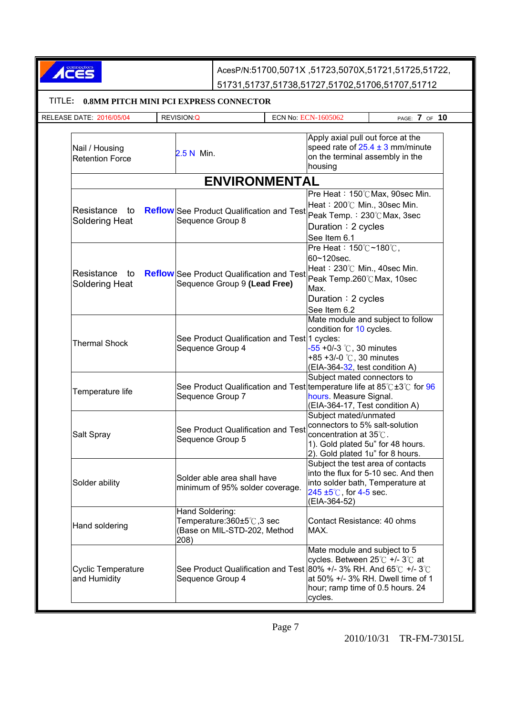| ACCS                                             |                         | AcesP/N:51700,5071X,51723,5070X,51721,51725,51722,                                                                                                                                                                                          |                                                                                                                                                                      |                                      |
|--------------------------------------------------|-------------------------|---------------------------------------------------------------------------------------------------------------------------------------------------------------------------------------------------------------------------------------------|----------------------------------------------------------------------------------------------------------------------------------------------------------------------|--------------------------------------|
|                                                  |                         | 51731,51737,51738,51727,51702,51706,51707,51712                                                                                                                                                                                             |                                                                                                                                                                      |                                      |
| TITLE:<br>0.8MM PITCH MINI PCI EXPRESS CONNECTOR |                         |                                                                                                                                                                                                                                             |                                                                                                                                                                      |                                      |
| <b>RELEASE DATE: 2016/05/04</b>                  | REVISION:Q              |                                                                                                                                                                                                                                             | ECN No: ECN-1605062                                                                                                                                                  | PAGE: 7 OF 10                        |
| Nail / Housing<br><b>Retention Force</b>         | 2.5 N Min.              |                                                                                                                                                                                                                                             | Apply axial pull out force at the<br>on the terminal assembly in the<br>housing                                                                                      | speed rate of $25.4 \pm 3$ mm/minute |
|                                                  |                         | <b>ENVIRONMENTAL</b>                                                                                                                                                                                                                        |                                                                                                                                                                      |                                      |
| Resistance to<br>Soldering Heat                  | Sequence Group 8        | <b>Reflow</b> See Product Qualification and Test                                                                                                                                                                                            | Heat: 200°C Min., 30sec Min.<br>Peak Temp.: 230°C Max, 3sec<br>Duration: 2 cycles<br>See Item 6.1                                                                    | Pre Heat: 150℃ Max, 90sec Min.       |
| Resistance<br>to<br>Soldering Heat               |                         | <b>Reflow</b> See Product Qualification and Test<br>Sequence Group 9 (Lead Free)                                                                                                                                                            | Pre Heat: 150℃~180℃,<br>60~120sec.<br>Heat: 230°C Min., 40sec Min.<br>Peak Temp.260℃Max, 10sec<br>Max.<br>Duration: 2 cycles<br>See Item 6.2                         |                                      |
| <b>Thermal Shock</b>                             | Sequence Group 4        | See Product Qualification and Test 1 cycles:                                                                                                                                                                                                | Mate module and subject to follow<br>condition for 10 cycles.<br>$-55 + 0/-3$ °C, 30 minutes<br>+85 +3/-0 °C, 30 minutes<br>(EIA-364-32, test condition A)           |                                      |
| Temperature life                                 | Sequence Group 7        | See Product Qualification and Test temperature life at 85° $C$ ±3° $C$ for 96                                                                                                                                                               | Subject mated connectors to<br>hours. Measure Signal.<br>(EIA-364-17, Test condition A)                                                                              |                                      |
| Salt Spray                                       | Sequence Group 5        | See Product Qualification and Test                                                                                                                                                                                                          | Subject mated/unmated<br>connectors to 5% salt-solution<br>concentration at 35°C.<br>1). Gold plated 5u" for 48 hours.<br>2). Gold plated 1u" for 8 hours.           |                                      |
| Solder ability                                   |                         | Solder able area shall have<br>minimum of 95% solder coverage.                                                                                                                                                                              | Subject the test area of contacts<br>into the flux for 5-10 sec. And then<br>into solder bath, Temperature at<br>$245 \pm 5^{\circ}$ C, for 4-5 sec.<br>(EIA-364-52) |                                      |
| Hand soldering                                   | Hand Soldering:<br>208) | Temperature: 360±5°C, 3 sec<br>(Base on MIL-STD-202, Method                                                                                                                                                                                 | Contact Resistance: 40 ohms<br>MAX.                                                                                                                                  |                                      |
| <b>Cyclic Temperature</b><br>and Humidity        |                         | Mate module and subject to 5<br>cycles. Between 25℃ +/- 3℃ at<br>See Product Qualification and Test 80% +/- 3% RH. And 65°C +/- 3°C<br>at 50% +/- 3% RH. Dwell time of 1<br>Sequence Group 4<br>hour; ramp time of 0.5 hours. 24<br>cycles. |                                                                                                                                                                      |                                      |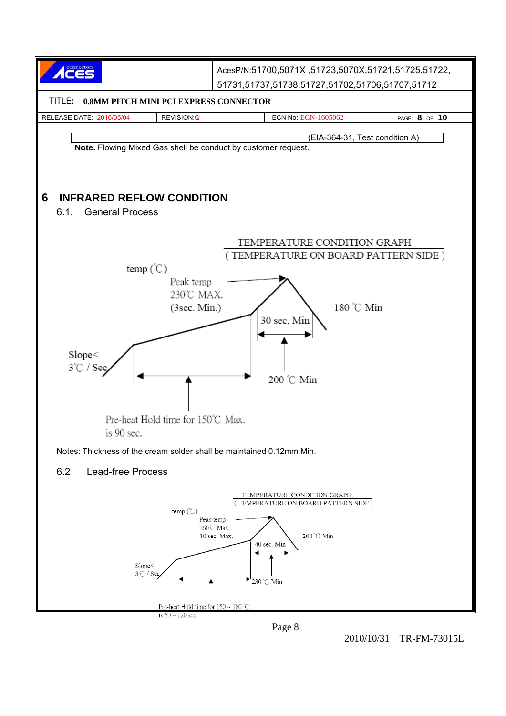

Page 8

2010/10/31 TR-FM-73015L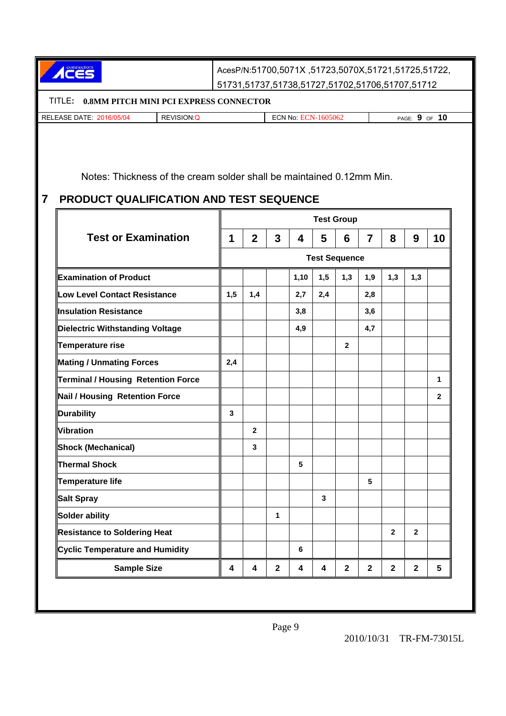ACES AcesP/N:51700,5071X ,51723,5070X,51721,51725,51722, 51731,51737,51738,51727,51702,51706,51707,51712 TITLE**: 0.8MM PITCH MINI PCI EXPRESS CONNECTOR**  RELEASE DATE: 2016/05/04 REVISION:Q ECN No: ECN-1605062 PAGE: **9** OF **10** Notes: Thickness of the cream solder shall be maintained 0.12mm Min. **7 PRODUCT QUALIFICATION AND TEST SEQUENCE Test Group Test or Examination 1 1 2 3 4 5 6 7 8 9 10 Test Sequence Examination of Product 1,10 1,10 1,5 1,3 1,3 1,3 1,3 1,3 Low Level Contact Resistance 1,5 1,4 2,7 2,4 2,8 Insulation Resistance 1 1** 3,8 **1** 3,6 **Dielectric Withstanding Voltage**  $\begin{array}{|c|c|c|c|c|c|} \hline \end{array}$  $\begin{array}{|c|c|c|c|c|c|} \hline \end{array}$  **4,7**  $\begin{array}{|c|c|c|c|c|c|} \hline \end{array}$  **4,7 Temperature rise 2 Mating / Unmating Forces** 2,4 **Terminal / Housing Retention Force 1 Nail / Housing Retention Force 2 Durability** 3 **Vibration 2 Shock (Mechanical) 1 1 3** Thermal Shock **5 1 1 1 1 5 Temperature life 5 Salt Spray 3 1 1 1 1 1 1 1 3** Solder ability **1 1 1 1 Resistance to Soldering Heat 2 2 Cyclic Temperature and Humidity**  $\begin{array}{ccc} \parallel & \parallel & \parallel & \parallel \end{array}$  6 **Sample Size 4 4 2 4 4 2 2 2 2 5**